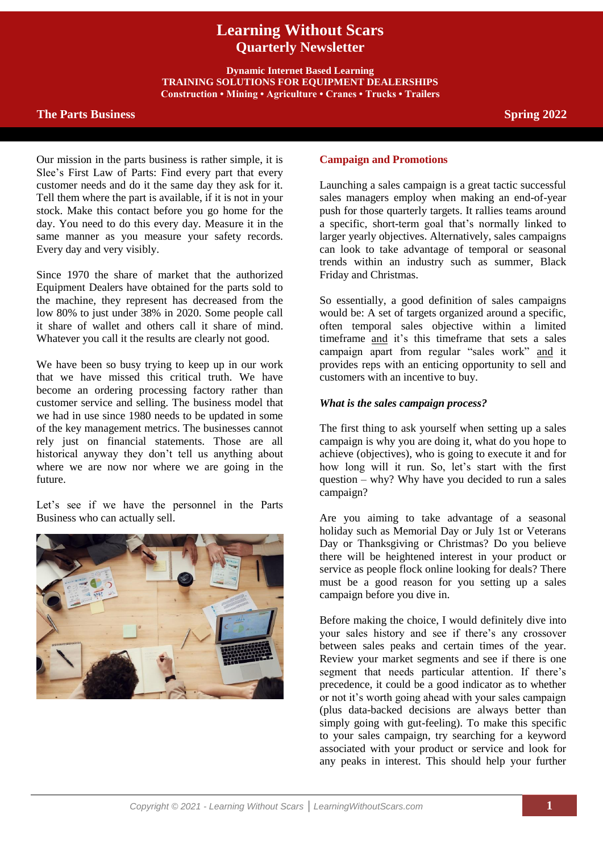# **Learning Without Scars Quarterly Newsletter**

**Dynamic Internet Based Learning TRAINING SOLUTIONS FOR EQUIPMENT DEALERSHIPS Construction • Mining • Agriculture • Cranes • Trucks • Trailers**

# **The Parts Business Spring** 2022

Our mission in the parts business is rather simple, it is Slee's First Law of Parts: Find every part that every customer needs and do it the same day they ask for it. Tell them where the part is available, if it is not in your stock. Make this contact before you go home for the day. You need to do this every day. Measure it in the same manner as you measure your safety records. Every day and very visibly.

Since 1970 the share of market that the authorized Equipment Dealers have obtained for the parts sold to the machine, they represent has decreased from the low 80% to just under 38% in 2020. Some people call it share of wallet and others call it share of mind. Whatever you call it the results are clearly not good.

We have been so busy trying to keep up in our work that we have missed this critical truth. We have become an ordering processing factory rather than customer service and selling. The business model that we had in use since 1980 needs to be updated in some of the key management metrics. The businesses cannot rely just on financial statements. Those are all historical anyway they don't tell us anything about where we are now nor where we are going in the future.

Let's see if we have the personnel in the Parts Business who can actually sell.



#### **Campaign and Promotions**

Launching a sales campaign is a great tactic successful sales managers employ when making an end-of-year push for those quarterly targets. It rallies teams around a specific, short-term goal that's normally linked to larger yearly objectives. Alternatively, sales campaigns can look to take advantage of temporal or seasonal trends within an industry such as summer, Black Friday and Christmas.

So essentially, a good definition of sales campaigns would be: A set of targets organized around a specific, often temporal sales objective within a limited timeframe and it's this timeframe that sets a sales campaign apart from regular "sales work" and it provides reps with an enticing opportunity to sell and customers with an incentive to buy.

#### *What is the sales campaign process?*

The first thing to ask yourself when setting up a sales campaign is why you are doing it, what do you hope to achieve (objectives), who is going to execute it and for how long will it run. So, let's start with the first question – why? Why have you decided to run a sales campaign?

Are you aiming to take advantage of a seasonal holiday such as Memorial Day or July 1st or Veterans Day or Thanksgiving or Christmas? Do you believe there will be heightened interest in your product or service as people flock online looking for deals? There must be a good reason for you setting up a sales campaign before you dive in.

Before making the choice, I would definitely dive into your sales history and see if there's any crossover between sales peaks and certain times of the year. Review your market segments and see if there is one segment that needs particular attention. If there's precedence, it could be a good indicator as to whether or not it's worth going ahead with your sales campaign (plus data-backed decisions are always better than simply going with gut-feeling). To make this specific to your sales campaign, try searching for a keyword associated with your product or service and look for any peaks in interest. This should help your further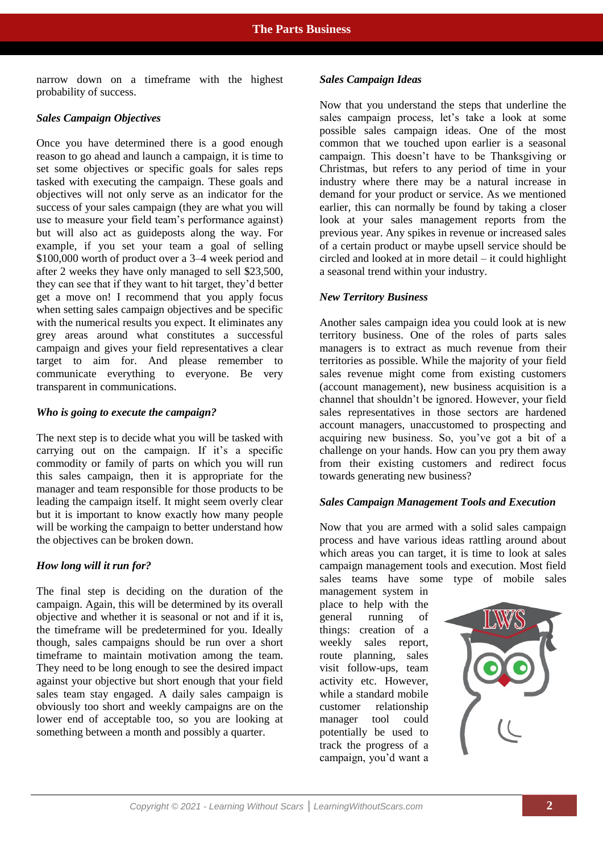narrow down on a timeframe with the highest probability of success.

# *Sales Campaign Objectives*

Once you have determined there is a good enough reason to go ahead and launch a campaign, it is time to set some objectives or specific goals for sales reps tasked with executing the campaign. These goals and objectives will not only serve as an indicator for the success of your sales campaign (they are what you will use to measure your field team's performance against) but will also act as guideposts along the way. For example, if you set your team a goal of selling \$100,000 worth of product over a 3–4 week period and after 2 weeks they have only managed to sell \$23,500, they can see that if they want to hit target, they'd better get a move on! I recommend that you apply focus when setting sales campaign objectives and be specific with the numerical results you expect. It eliminates any grey areas around what constitutes a successful campaign and gives your field representatives a clear target to aim for. And please remember to communicate everything to everyone. Be very transparent in communications.

## *Who is going to execute the campaign?*

The next step is to decide what you will be tasked with carrying out on the campaign. If it's a specific commodity or family of parts on which you will run this sales campaign, then it is appropriate for the manager and team responsible for those products to be leading the campaign itself. It might seem overly clear but it is important to know exactly how many people will be working the campaign to better understand how the objectives can be broken down.

## *How long will it run for?*

The final step is deciding on the duration of the campaign. Again, this will be determined by its overall objective and whether it is seasonal or not and if it is, the timeframe will be predetermined for you. Ideally though, sales campaigns should be run over a short timeframe to maintain motivation among the team. They need to be long enough to see the desired impact against your objective but short enough that your field sales team stay engaged. A daily sales campaign is obviously too short and weekly campaigns are on the lower end of acceptable too, so you are looking at something between a month and possibly a quarter.

#### *Sales Campaign Ideas*

Now that you understand the steps that underline the sales campaign process, let's take a look at some possible sales campaign ideas. One of the most common that we touched upon earlier is a seasonal campaign. This doesn't have to be Thanksgiving or Christmas, but refers to any period of time in your industry where there may be a natural increase in demand for your product or service. As we mentioned earlier, this can normally be found by taking a closer look at your sales management reports from the previous year. Any spikes in revenue or increased sales of a certain product or maybe upsell service should be circled and looked at in more detail – it could highlight a seasonal trend within your industry.

## *New Territory Business*

Another sales campaign idea you could look at is new territory business. One of the roles of parts sales managers is to extract as much revenue from their territories as possible. While the majority of your field sales revenue might come from existing customers (account management), new business acquisition is a channel that shouldn't be ignored. However, your field sales representatives in those sectors are hardened account managers, unaccustomed to prospecting and acquiring new business. So, you've got a bit of a challenge on your hands. How can you pry them away from their existing customers and redirect focus towards generating new business?

## *Sales Campaign Management Tools and Execution*

Now that you are armed with a solid sales campaign process and have various ideas rattling around about which areas you can target, it is time to look at sales campaign management tools and execution. Most field sales teams have some type of mobile sales

management system in place to help with the general running of things: creation of a weekly sales report, route planning, sales visit follow-ups, team activity etc. However, while a standard mobile customer relationship manager tool could potentially be used to track the progress of a campaign, you'd want a

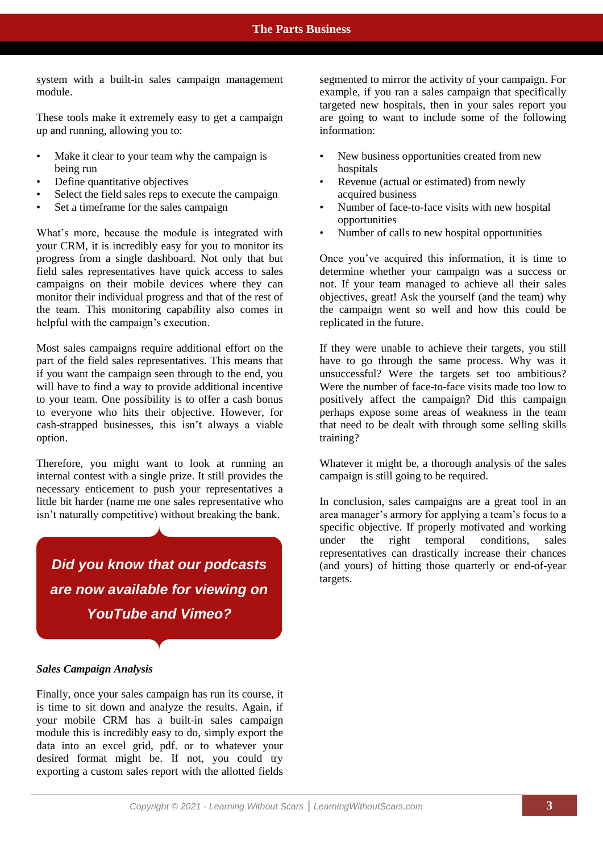system with a built-in sales campaign management module.

These tools make it extremely easy to get a campaign up and running, allowing you to:

- Make it clear to your team why the campaign is being run
- Define quantitative objectives
- Select the field sales reps to execute the campaign
- Set a timeframe for the sales campaign

What's more, because the module is integrated with your CRM, it is incredibly easy for you to monitor its progress from a single dashboard. Not only that but field sales representatives have quick access to sales campaigns on their mobile devices where they can monitor their individual progress and that of the rest of the team. This monitoring capability also comes in helpful with the campaign's execution.

Most sales campaigns require additional effort on the part of the field sales representatives. This means that if you want the campaign seen through to the end, you will have to find a way to provide additional incentive to your team. One possibility is to offer a cash bonus to everyone who hits their objective. However, for cash-strapped businesses, this isn't always a viable option.

Therefore, you might want to look at running an internal contest with a single prize. It still provides the necessary enticement to push your representatives a little bit harder (name me one sales representative who isn't naturally competitive) without breaking the bank.

*Did you know that our podcasts are now available for viewing on YouTube and Vimeo?*

segmented to mirror the activity of your campaign. For example, if you ran a sales campaign that specifically targeted new hospitals, then in your sales report you are going to want to include some of the following information:

- New business opportunities created from new hospitals
- Revenue (actual or estimated) from newly acquired business
- Number of face-to-face visits with new hospital opportunities
- Number of calls to new hospital opportunities

Once you've acquired this information, it is time to determine whether your campaign was a success or not. If your team managed to achieve all their sales objectives, great! Ask the yourself (and the team) why the campaign went so well and how this could be replicated in the future.

If they were unable to achieve their targets, you still have to go through the same process. Why was it unsuccessful? Were the targets set too ambitious? Were the number of face-to-face visits made too low to positively affect the campaign? Did this campaign perhaps expose some areas of weakness in the team that need to be dealt with through some selling skills training?

Whatever it might be, a thorough analysis of the sales campaign is still going to be required.

In conclusion, sales campaigns are a great tool in an area manager's armory for applying a team's focus to a specific objective. If properly motivated and working under the right temporal conditions, sales representatives can drastically increase their chances (and yours) of hitting those quarterly or end-of-year targets.

#### *Sales Campaign Analysis*

Finally, once your sales campaign has run its course, it is time to sit down and analyze the results. Again, if your mobile CRM has a built-in sales campaign module this is incredibly easy to do, simply export the data into an excel grid, pdf. or to whatever your desired format might be. If not, you could try exporting a custom sales report with the allotted fields